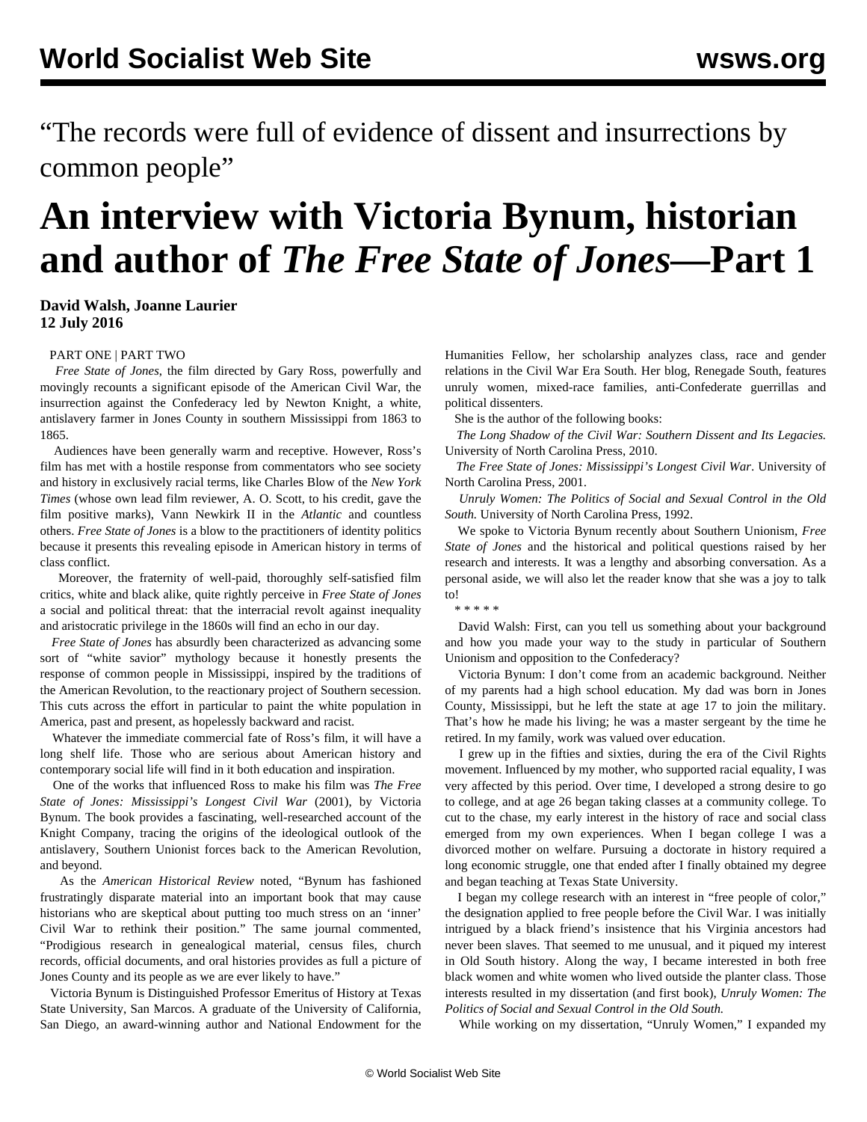"The records were full of evidence of dissent and insurrections by common people"

## **An interview with Victoria Bynum, historian and author of** *The Free State of Jones***—Part 1**

**David Walsh, Joanne Laurier 12 July 2016**

## [PART ONE](/en/articles/2016/07/12/byn1-j12.html) | [PART TWO](/en/articles/2016/07/13/byn2-j13.html)

 *Free State of Jones*, the film directed by Gary Ross, powerfully and movingly recounts a significant episode of the American Civil War, the insurrection against the Confederacy led by Newton Knight, a white, antislavery farmer in Jones County in southern Mississippi from 1863 to 1865.

 Audiences have been generally warm and receptive. However, Ross's film has met with a hostile response from commentators who see society and history in exclusively racial terms, like Charles Blow of the *New York Times* (whose own lead film reviewer, A. O. Scott, to his credit, gave the film positive marks), Vann Newkirk II in the *Atlantic* and countless others. *Free State of Jones* is a blow to the practitioners of identity politics because it presents this revealing episode in American history in terms of class conflict.

 Moreover, the fraternity of well-paid, thoroughly self-satisfied film critics, white and black alike, quite rightly perceive in *Free State of Jones* a social and political threat: that the interracial revolt against inequality and aristocratic privilege in the 1860s will find an echo in our day.

 *Free State of Jones* has absurdly been characterized as advancing some sort of "white savior" mythology because it honestly presents the response of common people in Mississippi, inspired by the traditions of the American Revolution, to the reactionary project of Southern secession. This cuts across the effort in particular to paint the white population in America, past and present, as hopelessly backward and racist.

 Whatever the immediate commercial fate of Ross's film, it will have a long shelf life. Those who are serious about American history and contemporary social life will find in it both education and inspiration.

 One of the works that influenced Ross to make his film was *The Free State of Jones: Mississippi's Longest Civil War* (2001), by Victoria Bynum. The book provides a fascinating, well-researched account of the Knight Company, tracing the origins of the ideological outlook of the antislavery, Southern Unionist forces back to the American Revolution, and beyond.

 As the *American Historical Review* noted, "Bynum has fashioned frustratingly disparate material into an important book that may cause historians who are skeptical about putting too much stress on an 'inner' Civil War to rethink their position." The same journal commented, "Prodigious research in genealogical material, census files, church records, official documents, and oral histories provides as full a picture of Jones County and its people as we are ever likely to have."

 Victoria Bynum is Distinguished Professor Emeritus of History at Texas State University, San Marcos. A graduate of the University of California, San Diego, an award-winning author and National Endowment for the Humanities Fellow, her scholarship analyzes class, race and gender relations in the Civil War Era South. Her blog, Renegade South, features unruly women, mixed-race families, anti-Confederate guerrillas and political dissenters.

She is the author of the following books:

 *The Long Shadow of the Civil War: Southern Dissent and Its Legacies.* University of North Carolina Press, 2010.

 *The Free State of Jones: Mississippi's Longest Civil War*. University of North Carolina Press, 2001.

 *Unruly Women: The Politics of Social and Sexual Control in the Old South.* University of North Carolina Press, 1992.

 We spoke to Victoria Bynum recently about Southern Unionism, *Free State of Jones* and the historical and political questions raised by her research and interests. It was a lengthy and absorbing conversation. As a personal aside, we will also let the reader know that she was a joy to talk to!

\* \* \* \* \*

 David Walsh: First, can you tell us something about your background and how you made your way to the study in particular of Southern Unionism and opposition to the Confederacy?

 Victoria Bynum: I don't come from an academic background. Neither of my parents had a high school education. My dad was born in Jones County, Mississippi, but he left the state at age 17 to join the military. That's how he made his living; he was a master sergeant by the time he retired. In my family, work was valued over education.

 I grew up in the fifties and sixties, during the era of the Civil Rights movement. Influenced by my mother, who supported racial equality, I was very affected by this period. Over time, I developed a strong desire to go to college, and at age 26 began taking classes at a community college. To cut to the chase, my early interest in the history of race and social class emerged from my own experiences. When I began college I was a divorced mother on welfare. Pursuing a doctorate in history required a long economic struggle, one that ended after I finally obtained my degree and began teaching at Texas State University.

 I began my college research with an interest in "free people of color," the designation applied to free people before the Civil War. I was initially intrigued by a black friend's insistence that his Virginia ancestors had never been slaves. That seemed to me unusual, and it piqued my interest in Old South history. Along the way, I became interested in both free black women and white women who lived outside the planter class. Those interests resulted in my dissertation (and first book), *Unruly Women: The Politics of Social and Sexual Control in the Old South.*

While working on my dissertation, "Unruly Women," I expanded my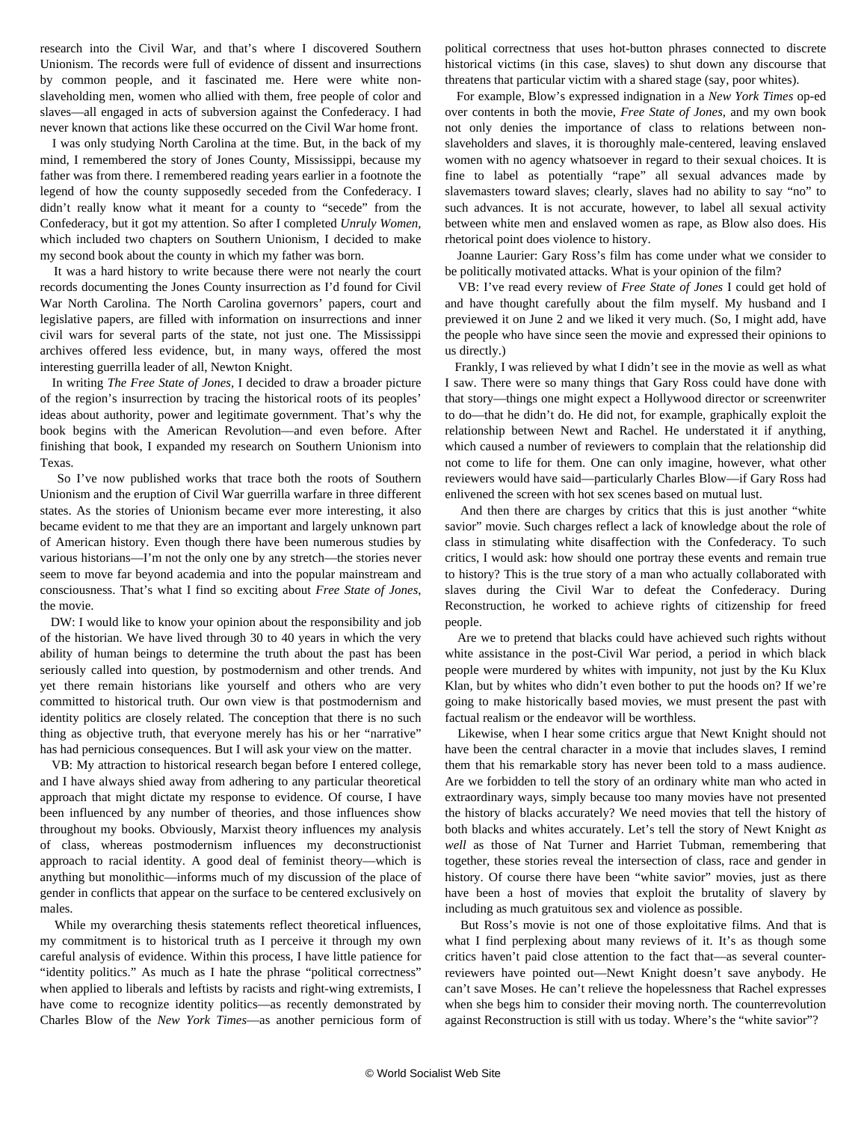research into the Civil War, and that's where I discovered Southern Unionism. The records were full of evidence of dissent and insurrections by common people, and it fascinated me. Here were white nonslaveholding men, women who allied with them, free people of color and slaves—all engaged in acts of subversion against the Confederacy. I had never known that actions like these occurred on the Civil War home front.

 I was only studying North Carolina at the time. But, in the back of my mind, I remembered the story of Jones County, Mississippi, because my father was from there. I remembered reading years earlier in a footnote the legend of how the county supposedly seceded from the Confederacy. I didn't really know what it meant for a county to "secede" from the Confederacy, but it got my attention. So after I completed *Unruly Women,* which included two chapters on Southern Unionism, I decided to make my second book about the county in which my father was born.

 It was a hard history to write because there were not nearly the court records documenting the Jones County insurrection as I'd found for Civil War North Carolina. The North Carolina governors' papers, court and legislative papers, are filled with information on insurrections and inner civil wars for several parts of the state, not just one. The Mississippi archives offered less evidence, but, in many ways, offered the most interesting guerrilla leader of all, Newton Knight.

 In writing *The Free State of Jones,* I decided to draw a broader picture of the region's insurrection by tracing the historical roots of its peoples' ideas about authority, power and legitimate government. That's why the book begins with the American Revolution––and even before. After finishing that book, I expanded my research on Southern Unionism into Texas.

 So I've now published works that trace both the roots of Southern Unionism and the eruption of Civil War guerrilla warfare in three different states. As the stories of Unionism became ever more interesting, it also became evident to me that they are an important and largely unknown part of American history. Even though there have been numerous studies by various historians—I'm not the only one by any stretch—the stories never seem to move far beyond academia and into the popular mainstream and consciousness. That's what I find so exciting about *Free State of Jones*, the movie.

 DW: I would like to know your opinion about the responsibility and job of the historian. We have lived through 30 to 40 years in which the very ability of human beings to determine the truth about the past has been seriously called into question, by postmodernism and other trends. And yet there remain historians like yourself and others who are very committed to historical truth. Our own view is that postmodernism and identity politics are closely related. The conception that there is no such thing as objective truth, that everyone merely has his or her "narrative" has had pernicious consequences. But I will ask your view on the matter.

 VB: My attraction to historical research began before I entered college, and I have always shied away from adhering to any particular theoretical approach that might dictate my response to evidence. Of course, I have been influenced by any number of theories, and those influences show throughout my books. Obviously, Marxist theory influences my analysis of class, whereas postmodernism influences my deconstructionist approach to racial identity. A good deal of feminist theory—which is anything but monolithic—informs much of my discussion of the place of gender in conflicts that appear on the surface to be centered exclusively on males.

 While my overarching thesis statements reflect theoretical influences, my commitment is to historical truth as I perceive it through my own careful analysis of evidence. Within this process, I have little patience for "identity politics." As much as I hate the phrase "political correctness" when applied to liberals and leftists by racists and right-wing extremists, I have come to recognize identity politics—as recently demonstrated by Charles Blow of the *New York Times*—as another pernicious form of political correctness that uses hot-button phrases connected to discrete historical victims (in this case, slaves) to shut down any discourse that threatens that particular victim with a shared stage (say, poor whites).

 For example, Blow's expressed indignation in a *New York Times* op-ed over contents in both the movie, *Free State of Jones,* and my own book not only denies the importance of class to relations between nonslaveholders and slaves, it is thoroughly male-centered, leaving enslaved women with no agency whatsoever in regard to their sexual choices. It is fine to label as potentially "rape" all sexual advances made by slavemasters toward slaves; clearly, slaves had no ability to say "no" to such advances. It is not accurate, however, to label all sexual activity between white men and enslaved women as rape, as Blow also does. His rhetorical point does violence to history.

 Joanne Laurier: Gary Ross's film has come under what we consider to be politically motivated attacks. What is your opinion of the film?

 VB: I've read every review of *Free State of Jones* I could get hold of and have thought carefully about the film myself. My husband and I previewed it on June 2 and we liked it very much. (So, I might add, have the people who have since seen the movie and expressed their opinions to us directly.)

 Frankly, I was relieved by what I didn't see in the movie as well as what I saw. There were so many things that Gary Ross could have done with that story—things one might expect a Hollywood director or screenwriter to do—that he didn't do. He did not, for example, graphically exploit the relationship between Newt and Rachel. He understated it if anything, which caused a number of reviewers to complain that the relationship did not come to life for them. One can only imagine, however, what other reviewers would have said—particularly Charles Blow—if Gary Ross had enlivened the screen with hot sex scenes based on mutual lust.

 And then there are charges by critics that this is just another "white savior" movie. Such charges reflect a lack of knowledge about the role of class in stimulating white disaffection with the Confederacy. To such critics, I would ask: how should one portray these events and remain true to history? This is the true story of a man who actually collaborated with slaves during the Civil War to defeat the Confederacy. During Reconstruction, he worked to achieve rights of citizenship for freed people.

 Are we to pretend that blacks could have achieved such rights without white assistance in the post-Civil War period, a period in which black people were murdered by whites with impunity, not just by the Ku Klux Klan, but by whites who didn't even bother to put the hoods on? If we're going to make historically based movies, we must present the past with factual realism or the endeavor will be worthless.

 Likewise, when I hear some critics argue that Newt Knight should not have been the central character in a movie that includes slaves, I remind them that his remarkable story has never been told to a mass audience. Are we forbidden to tell the story of an ordinary white man who acted in extraordinary ways, simply because too many movies have not presented the history of blacks accurately? We need movies that tell the history of both blacks and whites accurately. Let's tell the story of Newt Knight *as well* as those of Nat Turner and Harriet Tubman, remembering that together, these stories reveal the intersection of class, race and gender in history. Of course there have been "white savior" movies, just as there have been a host of movies that exploit the brutality of slavery by including as much gratuitous sex and violence as possible.

 But Ross's movie is not one of those exploitative films. And that is what I find perplexing about many reviews of it. It's as though some critics haven't paid close attention to the fact that—as several counterreviewers have pointed out—Newt Knight doesn't save anybody. He can't save Moses. He can't relieve the hopelessness that Rachel expresses when she begs him to consider their moving north. The counterrevolution against Reconstruction is still with us today. Where's the "white savior"?